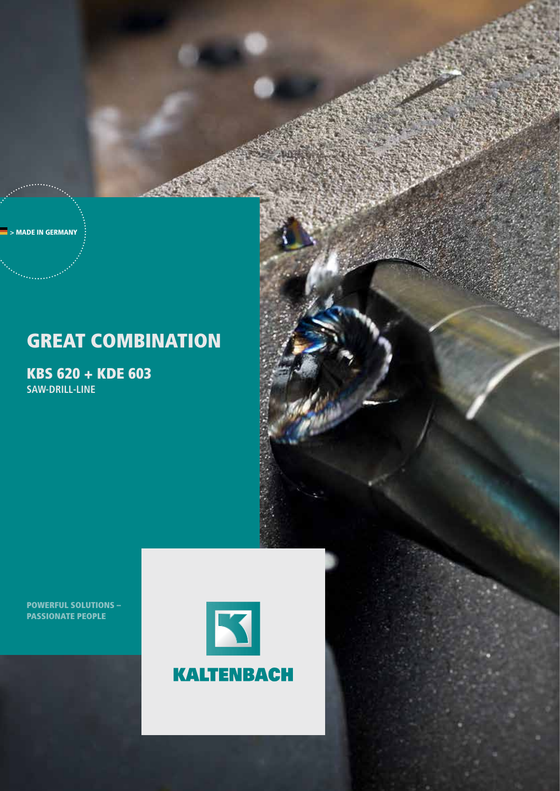> MADE IN GERMANY

# **GREAT COMBINATION**

KBS 620 + KDE 603 **saw-DRILL-LINE**

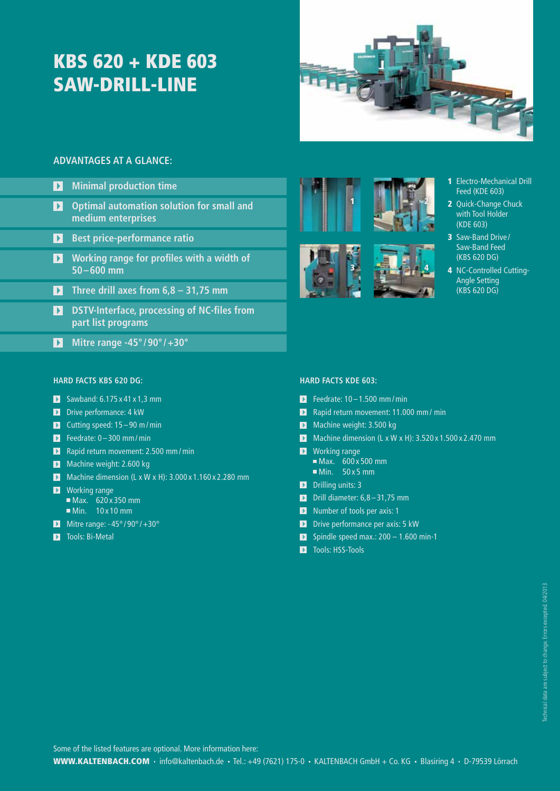# KBS 620 + KDE 603 SAW-DRILL-LINE



2

4

### **ADVANTAGES AT A GLANCE:**

- **Minimal production time**
- $\mathbf{E}$ **Optimal automation solution for small and medium enterprises**
- **Best price-performance ratio**
- **Working range for profiles with a width of 50–600 mm**
- **Three drill axes from 6,8 31,75 mm**
- **DESTV-Interface, processing of NC-files from part list programs**
- **Mitre range -45° /90° /+30°**

### **HARD FACTS KBS 620 DG:**

- $\blacksquare$  Sawband: 6.175 x 41 x 1.3 mm
- Durive performance: 4 kW
- Cutting speed:  $15 90$  m/min
- $\blacksquare$  Feedrate: 0 300 mm/min
- **Rapid return movement: 2.500 mm/min**
- Machine weight: 2.600 kg
- $\blacktriangleright$  Machine dimension (L x W x H): 3.000 x 1.160 x 2.280 mm
- **N** Working range  $Max. 620 x 350 mm$
- Min. 10 x 10 mm Mitre range:  $-45^{\circ}/90^{\circ}/+30^{\circ}$ 
	-
- **T** Tools: Bi-Metal





- 1 Electro-Mechanical Drill Feed (KDE 603)
- 2 Quick-Change Chuck with Tool Holder (KDE 603)
- 3 Saw-Band Drive/ Saw-Band Feed (KBS 620 DG)
- 4 NC-Controlled Cutting-Angle Setting (KBS 620 DG)

### **HARD FACTS KDE 603:**

- $\blacksquare$  Feedrate: 10 1.500 mm/min
- **Rapid return movement: 11.000 mm/ min**
- Machine weight: 3.500 kg
- $\blacksquare$  Machine dimension (L x W x H): 3.520 x 1.500 x 2.470 mm
- **N** Working range  $Max.$  600 x 500 mm
- $Min. 50 x 5 mm$ D Drilling units: 3
- 
- D Drill diameter:  $6,8-31,75$  mm
- Number of tools per axis: 1
- D Drive performance per axis: 5 kW
- $\blacksquare$  Spindle speed max.: 200 1.600 min-1
- **T** Tools: HSS-Tools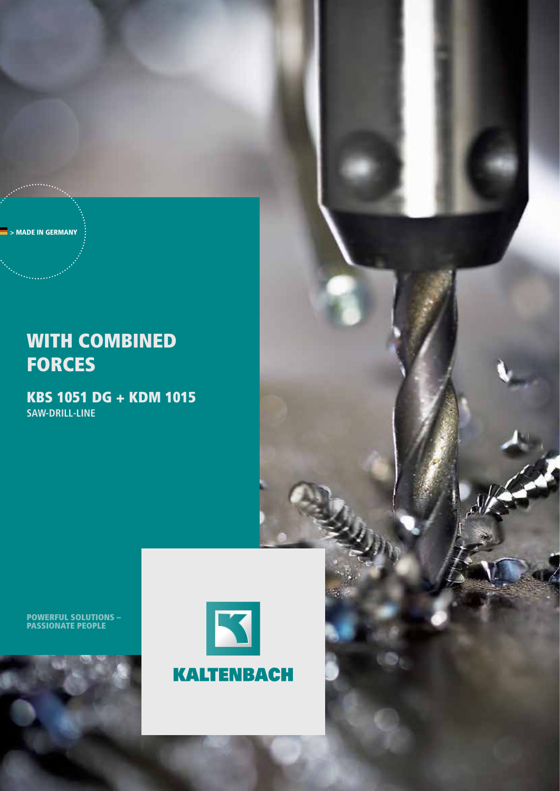> MADE IN GERMANY

## WITH COMBINED **FORCES**

KBS 1051 DG + KDM 1015 **saw-Drill-line**



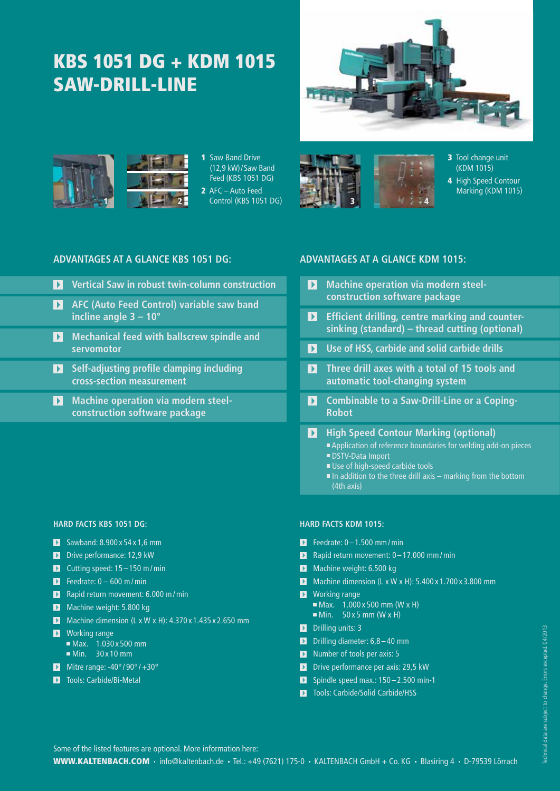# KBS 1051 DG + KDM 1015 saw-drill-line





1 Saw Band Drive (12,9 kW)/Saw Band Feed (KBS 1051 DG) 2 AFC – Auto Feed Control (KBS 1051 DG)



3 Tool change unit (KDM 1015)

4 High Speed Contour Marking (KDM 1015)

### **ADVANTAGES AT A GLANCE KBS 1051 DG: ADVANTAGES AT A GLANCE KDM 1015:**

- **Vertical Saw in robust twin-column construction**
- **AFC (Auto Feed Control) variable saw band incline angle 3 – 10°**
- **Mechanical feed with ballscrew spindle and servomotor**
- **Self-adjusting profile clamping including cross-section measurement**
- **Machine operation via modern steelconstruction software package**

### **HARD FACTS KBS 1051 DG:**

- $\blacksquare$  Sawband: 8.900 x 54 x 1,6 mm
- Drive performance: 12,9 kW
- Cutting speed:  $15 150$  m/min
- Feedrate:  $0 600$  m/min
- **Rapid return movement: 6.000 m/min**
- Machine weight: 5.800 kg
- $\blacksquare$  Machine dimension (L x W x H): 4.370 x 1.435 x 2.650 mm
- **N** Working range Max. 1.030 x 500 mm Min. 30 x 10 mm
- Mitre range:  $-40^{\circ}/90^{\circ}/+30^{\circ}$
- **Tools: Carbide/Bi-Metal**

- **Machine operation via modern steelconstruction software package**
- **Example 12** Efficient drilling, centre marking and counter**sinking (standard) – thread cutting (optional)**
- **12** Use of HSS, carbide and solid carbide drills
- **Three drill axes with a total of 15 tools and automatic tool-changing system**
- $\blacksquare$  Combinable to a Saw-Drill-Line or a Coping-**Robot**
- **12 High Speed Contour Marking (optional)** Application of reference boundaries for welding add-on pieces
	- DSTV-Data Import Use of high-speed carbide tools
	- $\blacksquare$  In addition to the three drill axis marking from the bottom (4th axis)

### **HARD FACTS KDM 1015:**

- $\blacksquare$  Feedrate: 0 1.500 mm / min
- Rapid return movement:  $0 17.000$  mm/min
- Machine weight: 6.500 kg
- Machine dimension  $(L \times W \times H)$ : 5.400  $\times$  1.700  $\times$  3.800 mm
- **N** Working range
	- $\blacksquare$  Max. 1.000 x 500 mm (W x H)  $Min. 50 x 5 mm (W x H)$
- D Drilling units: 3
- **D** Drilling diameter:  $6,8-40$  mm
- Number of tools per axis: 5
- D Drive performance per axis: 29,5 kW
- $\triangleright$  Spindle speed max.: 150 2.500 min-1
- **T** Tools: Carbide/Solid Carbide/HSS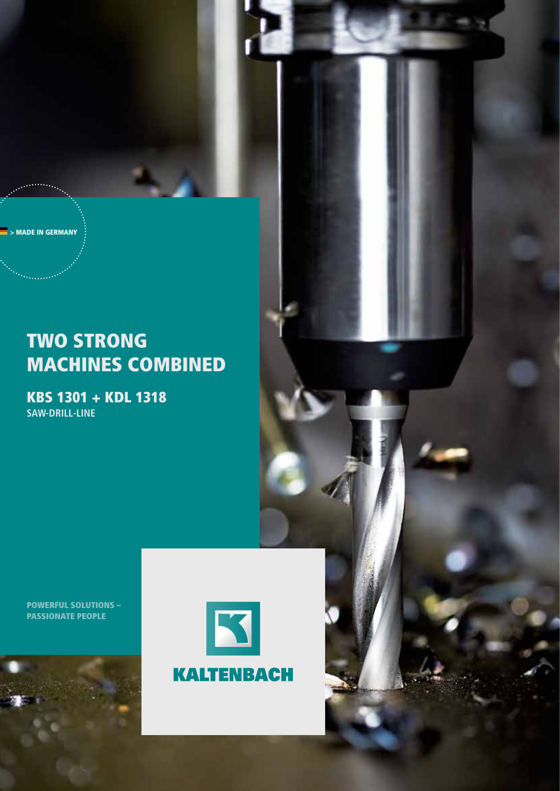> MADE IN GERMANY

## Two strong machines combined

KBS 1301 + KDL 1318 **saw-drill-line**



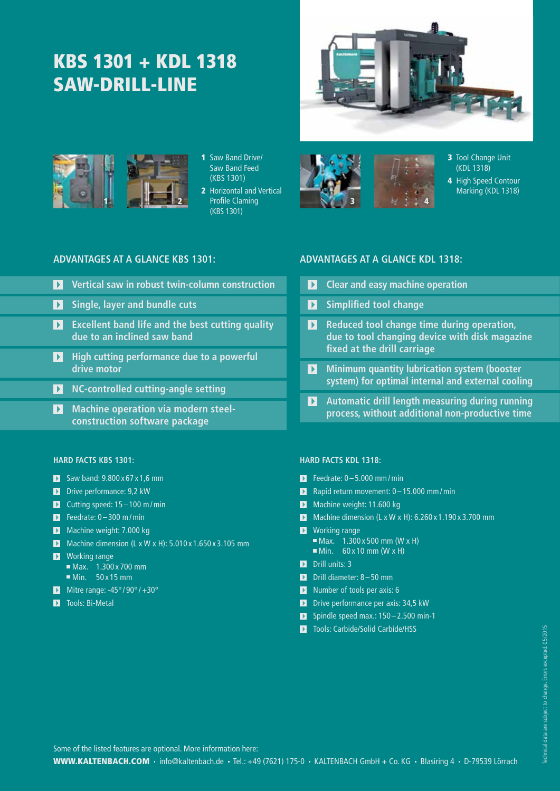# KBS 1301 + KDL 1318 saw-drill-line



3 Tool Change Unit (KDL 1318) 4 High Speed Contour Marking (KDL 1318)



1 Saw Band Drive/ Saw Band Feed (KBS 1301)

2 Horizontal and Vertical (KBS 1301)

### **ADVANTAGES AT A GLANCE KBS 1301: ADVANTAGES AT A GLANCE KDL 1318:**

- **Vertical saw in robust twin-column construction**
- **Single, layer and bundle cuts**
- **Excellent band life and the best cutting quality due to an inclined saw band**
- **High cutting performance due to a powerful drive motor**
- **NC-controlled cutting-angle setting**
- **1** Machine operation via modern steel**construction software package**

### **HARD FACTS KBS 1301:**

- $\blacksquare$  Saw band: 9.800 x 67 x 1,6 mm
- Drive performance: 9,2 kW
- $\triangleright$  Cutting speed: 15 100 m/min
- $\triangleright$  Feedrate: 0 300 m/min
- Machine weight: 7.000 kg
- Machine dimension  $(L \times W \times H)$ : 5.010 $\times$ 1.650 $\times$ 3.105 mm
- **N** Working range
	- $\overline{\blacksquare}$  Max. 1.300 x 700 mm  $Min. 50 x 15 mm$
- Mitre range:  $-45^{\circ}/90^{\circ}/+30^{\circ}$
- **Tools: Bi-Metal**

- $\blacksquare$  Clear and easy machine operation
- **E** Simplified tool change
- **Reduced tool change time during operation, due to tool changing device with disk magazine fixed at the drill carriage**
- **Minimum quantity lubrication system (booster system) for optimal internal and external cooling**
- **Automatic drill length measuring during running process, without additional non-productive time**

#### **HARD FACTS KDL 1318:**

- $\blacktriangleright$  Feedrate: 0 5.000 mm / min
- **Rapid return movement: 0 15.000 mm/min**
- Machine weight: 11.600 kg
- Machine dimension (L x W x H):  $6.260 \times 1.190 \times 3.700$  mm
- **N** Working range  $Max.$  1.300 x 500 mm (W x H)  $Min.$  60 x 10 mm (W x H)
- Drill units: 3
- D Drill diameter: 8-50 mm
- **Number of tools per axis: 6**
- D Drive performance per axis: 34.5 kW
- $\blacksquare$  Spindle speed max.: 150 2.500 min-1
- **Tools: Carbide/Solid Carbide/HSS**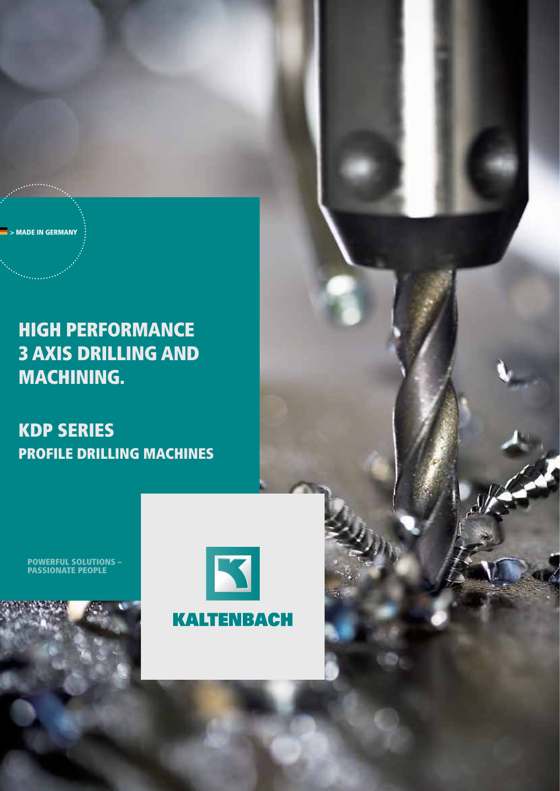**MADE IN GERMANY** 

## HIGH PERFORMANCE 3 AXIS DRILLING AND MACHINING.

KDP series Profile drilling machines